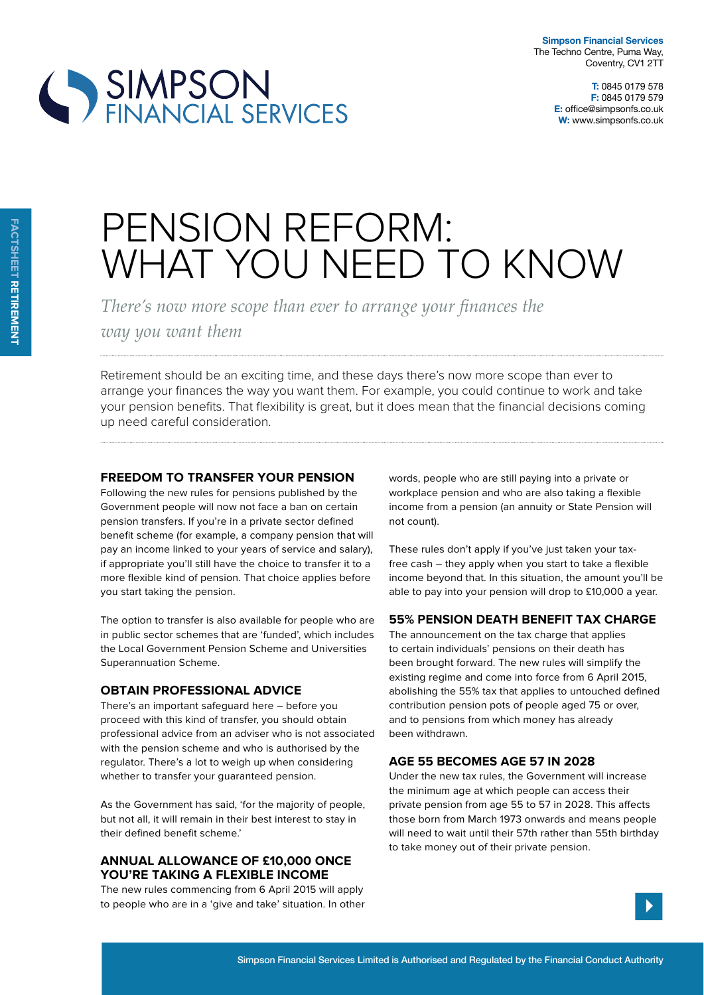**T:** 0845 0179 578 **F:** 0845 0179 579 **E:** office@simpsonfs.co.uk **W:** www.simpsonfs.co.uk

# SIMPSON<br>FINANCIAL SERVICES

## PENSION REFORM: WHAT YOU NEED TO KNOW

*There's now more scope than ever to arrange your finances the* 

*way you want them*

Retirement should be an exciting time, and these days there's now more scope than ever to arrange your finances the way you want them. For example, you could continue to work and take your pension benefits. That flexibility is great, but it does mean that the financial decisions coming up need careful consideration.

### **Freedom to transFer your pension**

Following the new rules for pensions published by the Government people will now not face a ban on certain pension transfers. If you're in a private sector defined benefit scheme (for example, a company pension that will pay an income linked to your years of service and salary), if appropriate you'll still have the choice to transfer it to a more flexible kind of pension. That choice applies before you start taking the pension.

The option to transfer is also available for people who are in public sector schemes that are 'funded', which includes the Local Government Pension Scheme and Universities Superannuation Scheme.

#### **oBtain proFessional advice**

There's an important safeguard here – before you proceed with this kind of transfer, you should obtain professional advice from an adviser who is not associated with the pension scheme and who is authorised by the regulator. There's a lot to weigh up when considering whether to transfer your quaranteed pension.

As the Government has said, 'for the majority of people, but not all, it will remain in their best interest to stay in their defined benefit scheme.'

#### **annual allowance oF £10,000 once you're taking a FlexiBle income**

The new rules commencing from 6 April 2015 will apply to people who are in a 'give and take' situation. In other words, people who are still paying into a private or workplace pension and who are also taking a flexible income from a pension (an annuity or State Pension will not count).

These rules don't apply if you've just taken your taxfree cash – they apply when you start to take a flexible income beyond that. In this situation, the amount you'll be able to pay into your pension will drop to £10,000 a year.

#### **55% pension deatH BeneFit tax cHarge**

The announcement on the tax charge that applies to certain individuals' pensions on their death has been brought forward. The new rules will simplify the existing regime and come into force from 6 April 2015, abolishing the 55% tax that applies to untouched defined contribution pension pots of people aged 75 or over, and to pensions from which money has already been withdrawn.

#### **age 55 Becomes age 57 in 2028**

Under the new tax rules, the Government will increase the minimum age at which people can access their private pension from age 55 to 57 in 2028. This afects those born from March 1973 onwards and means people will need to wait until their 57th rather than 55th birthday to take money out of their private pension.